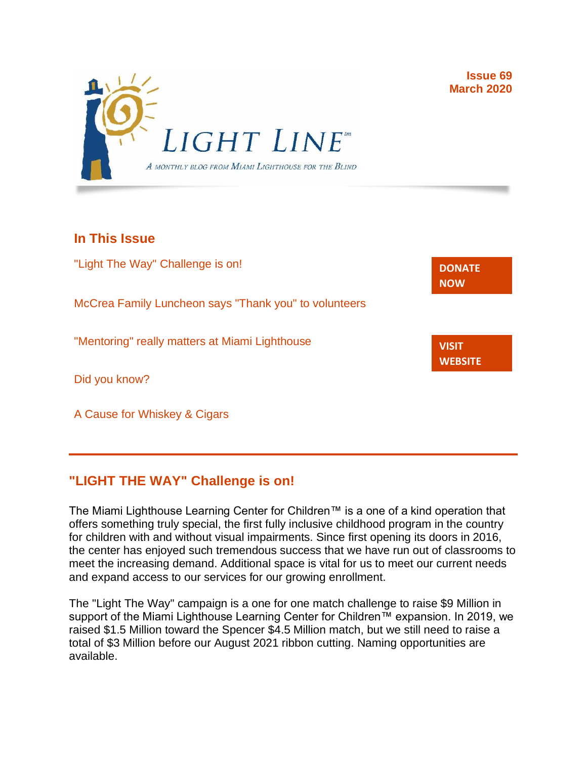

**Issue 69 March 2020**

**[DONATE](http://r20.rs6.net/tn.jsp?f=001gO2GdS4FPEo240mg91k3c6HYN6ozMk69i8vrHipkUVt0nirc6iRjFsnZMWQfGpPyX5jA608dzGsffulXhDWN87JpF0RNMOsrEiEcR9KIVEjaVePiHS9eny3wE9Zh3DibFuDj7zvtMQCXwVbtALXi3_cnEJaT8XURz8jTt9N4yGe0rF3VoM8Y5mGhwRavYQ9CBe_fM4GbcQM=&c=A5xWHdmKDISdqoVssYAkMfhtdAlzuVskAHp3ASewWzRv5OnB7XubeA==&ch=KFi9wV6k5Z13Ef8Qia4fM-L584mfsNs0RWKjkNv-Bombmn4mZKg5Lw==) NOW**

**VISIT [WEBSITE](http://r20.rs6.net/tn.jsp?f=001gO2GdS4FPEo240mg91k3c6HYN6ozMk69i8vrHipkUVt0nirc6iRjFp5OLUPp5xz8iJ7cM7NxB4ho-pmJZegg-UUCCff2BfEg0hVFNWmithw5L76cpbdpMlw1ZgIRlQC6OwIp0zOZvc1jcAvQYtup6ODb3HvWFX4_CFaBZinytweEHJSIK44w1g==&c=A5xWHdmKDISdqoVssYAkMfhtdAlzuVskAHp3ASewWzRv5OnB7XubeA==&ch=KFi9wV6k5Z13Ef8Qia4fM-L584mfsNs0RWKjkNv-Bombmn4mZKg5Lw==)**

### **In This Issue**

"Light The Way" Challenge is on!

McCrea Family Luncheon says "Thank you" to volunteers

"Mentoring" really matters at Miami Lighthouse

Did you know?

A Cause for Whiskey & Cigars

## **"LIGHT THE WAY" Challenge is on!**

The Miami Lighthouse Learning Center for Children™ is a one of a kind operation that offers something truly special, the first fully inclusive childhood program in the country for children with and without visual impairments. Since first opening its doors in 2016, the center has enjoyed such tremendous success that we have run out of classrooms to meet the increasing demand. Additional space is vital for us to meet our current needs and expand access to our services for our growing enrollment.

The "Light The Way" campaign is a one for one match challenge to raise \$9 Million in support of the Miami Lighthouse Learning Center for Children™ expansion. In 2019, we raised \$1.5 Million toward the Spencer \$4.5 Million match, but we still need to raise a total of \$3 Million before our August 2021 ribbon cutting. Naming opportunities are available.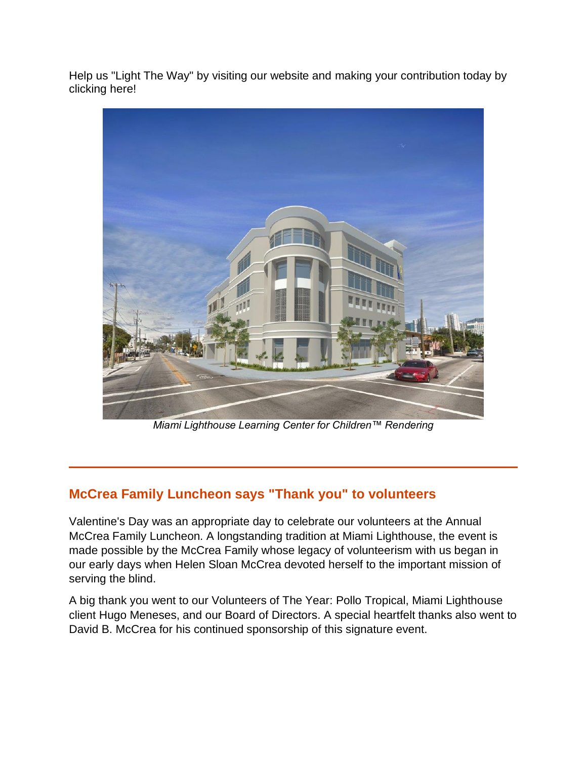Help us "Light The Way" by visiting our website and making your contribution today by clicking here!



*Miami Lighthouse Learning Center for Children™ Rendering*

# **McCrea Family Luncheon says "Thank you" to volunteers**

Valentine's Day was an appropriate day to celebrate our volunteers at the Annual McCrea Family Luncheon. A longstanding tradition at Miami Lighthouse, the event is made possible by the McCrea Family whose legacy of volunteerism with us began in our early days when Helen Sloan McCrea devoted herself to the important mission of serving the blind.

A big thank you went to our Volunteers of The Year: Pollo Tropical, Miami Lighthouse client Hugo Meneses, and our Board of Directors. A special heartfelt thanks also went to David B. McCrea for his continued sponsorship of this signature event.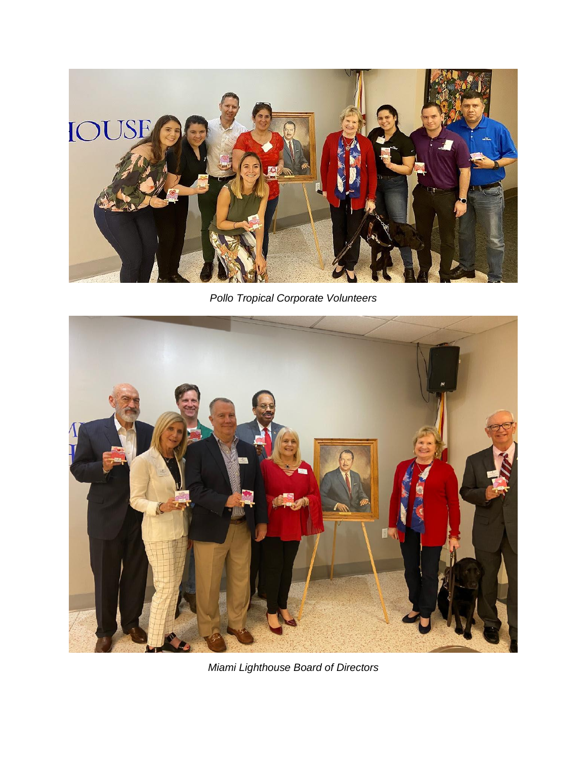

*Pollo Tropical Corporate Volunteers*



*Miami Lighthouse Board of Directors*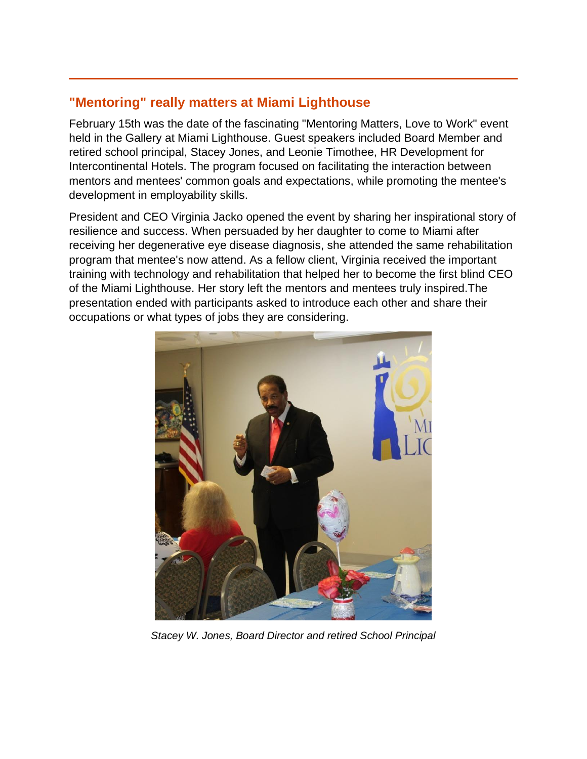### **"Mentoring" really matters at Miami Lighthouse**

February 15th was the date of the fascinating "Mentoring Matters, Love to Work" event held in the Gallery at Miami Lighthouse. Guest speakers included Board Member and retired school principal, Stacey Jones, and Leonie Timothee, HR Development for Intercontinental Hotels. The program focused on facilitating the interaction between mentors and mentees' common goals and expectations, while promoting the mentee's development in employability skills.

President and CEO Virginia Jacko opened the event by sharing her inspirational story of resilience and success. When persuaded by her daughter to come to Miami after receiving her degenerative eye disease diagnosis, she attended the same rehabilitation program that mentee's now attend. As a fellow client, Virginia received the important training with technology and rehabilitation that helped her to become the first blind CEO of the Miami Lighthouse. Her story left the mentors and mentees truly inspired.The presentation ended with participants asked to introduce each other and share their occupations or what types of jobs they are considering.



*Stacey W. Jones, Board Director and retired School Principal*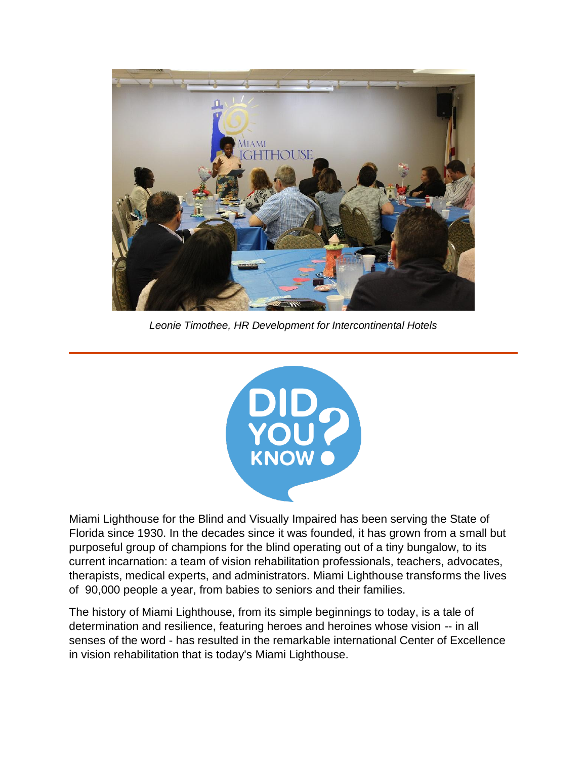

*Leonie Timothee, HR Development for Intercontinental Hotels*



Miami Lighthouse for the Blind and Visually Impaired has been serving the State of Florida since 1930. In the decades since it was founded, it has grown from a small but purposeful group of champions for the blind operating out of a tiny bungalow, to its current incarnation: a team of vision rehabilitation professionals, teachers, advocates, therapists, medical experts, and administrators. Miami Lighthouse transforms the lives of 90,000 people a year, from babies to seniors and their families.

The history of Miami Lighthouse, from its simple beginnings to today, is a tale of determination and resilience, featuring heroes and heroines whose vision -- in all senses of the word - has resulted in the remarkable international Center of Excellence in vision rehabilitation that is today's Miami Lighthouse.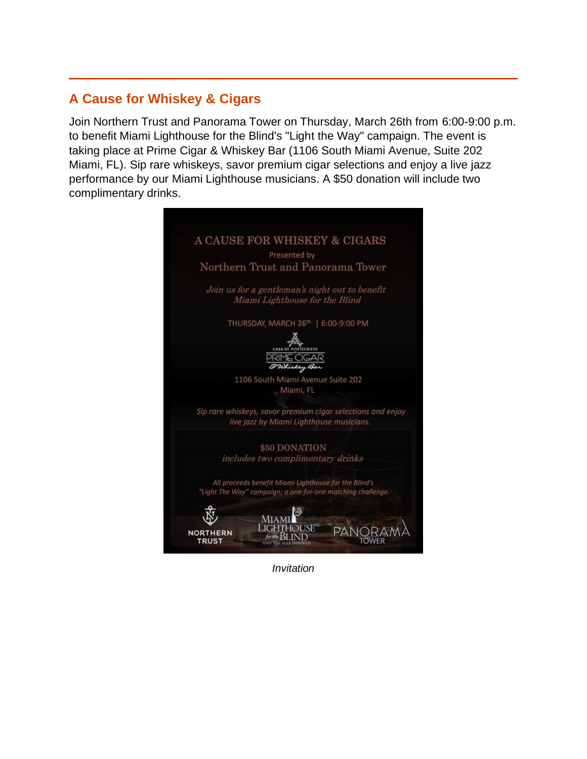### **A Cause for Whiskey & Cigars**

Join Northern Trust and Panorama Tower on Thursday, March 26th from 6:00-9:00 p.m. to benefit Miami Lighthouse for the Blind's "Light the Way" campaign. The event is taking place at Prime Cigar & Whiskey Bar (1106 South Miami Avenue, Suite 202 Miami, FL). Sip rare whiskeys, savor premium cigar selections and enjoy a live jazz performance by our Miami Lighthouse musicians. A \$50 donation will include two complimentary drinks.



*Invitation*